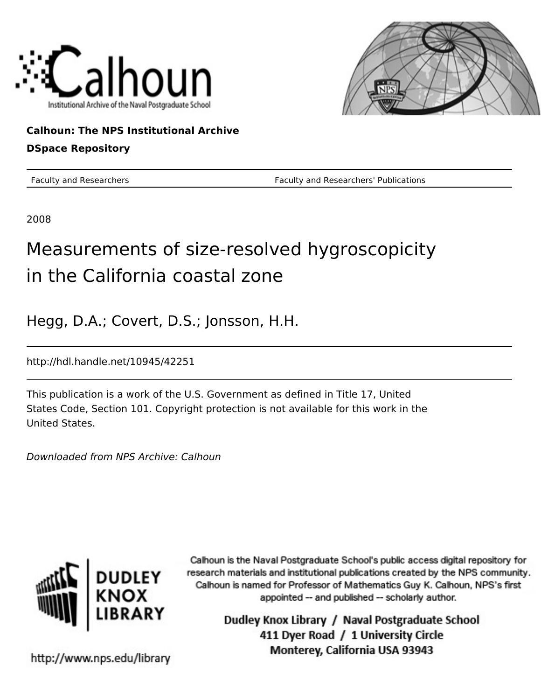



### **Calhoun: The NPS Institutional Archive DSpace Repository**

Faculty and Researchers Faculty and Researchers' Publications

2008

# Measurements of size-resolved hygroscopicity in the California coastal zone

Hegg, D.A.; Covert, D.S.; Jonsson, H.H.

http://hdl.handle.net/10945/42251

This publication is a work of the U.S. Government as defined in Title 17, United States Code, Section 101. Copyright protection is not available for this work in the United States.

Downloaded from NPS Archive: Calhoun



Calhoun is the Naval Postgraduate School's public access digital repository for research materials and institutional publications created by the NPS community. Calhoun is named for Professor of Mathematics Guy K. Calhoun, NPS's first appointed -- and published -- scholarly author.

> Dudley Knox Library / Naval Postgraduate School 411 Dyer Road / 1 University Circle Monterey, California USA 93943

http://www.nps.edu/library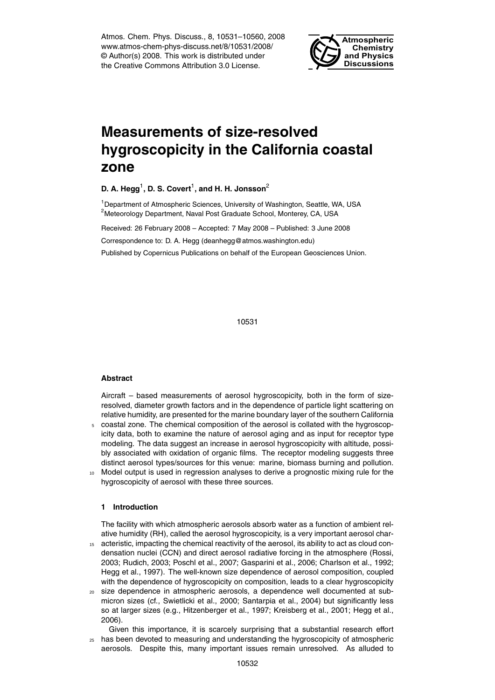Atmos. Chem. Phys. Discuss., 8, 10531–10560, 2008 www.atmos-chem-phys-discuss.net/8/10531/2008/ © Author(s) 2008. This work is distributed under the Creative Commons Attribution 3.0 License.



## **Measurements of size-resolved hygroscopicity in the California coastal zone**

**D. A. Hegg** $^1$ **, D. S. Covert** $^1$ **, and H. H. Jonsson** $^2$ 

<sup>1</sup> Department of Atmospheric Sciences, University of Washington, Seattle, WA, USA <sup>2</sup>Meteorology Department, Naval Post Graduate School, Monterey, CA, USA

Received: 26 February 2008 – Accepted: 7 May 2008 – Published: 3 June 2008

Correspondence to: D. A. Hegg (deanhegg@atmos.washington.edu)

Published by Copernicus Publications on behalf of the European Geosciences Union.

10531

#### **Abstract**

Aircraft – based measurements of aerosol hygroscopicity, both in the form of sizeresolved, diameter growth factors and in the dependence of particle light scattering on relative humidity, are presented for the marine boundary layer of the southern California

- <sup>5</sup> coastal zone. The chemical composition of the aerosol is collated with the hygroscopicity data, both to examine the nature of aerosol aging and as input for receptor type modeling. The data suggest an increase in aerosol hygroscopicity with altitude, possibly associated with oxidation of organic films. The receptor modeling suggests three distinct aerosol types/sources for this venue: marine, biomass burning and pollution.
- <sup>10</sup> Model output is used in regression analyses to derive a prognostic mixing rule for the hygroscopicity of aerosol with these three sources.

#### **1 Introduction**

The facility with which atmospheric aerosols absorb water as a function of ambient relative humidity (RH), called the aerosol hygroscopicity, is a very important aerosol char-

- acteristic, impacting the chemical reactivity of the aerosol, its ability to act as cloud condensation nuclei (CCN) and direct aerosol radiative forcing in the atmosphere (Rossi, 2003; Rudich, 2003; Poschl et al., 2007; Gasparini et al., 2006; Charlson et al., 1992; Hegg et al., 1997). The well-known size dependence of aerosol composition, coupled with the dependence of hygroscopicity on composition, leads to a clear hygroscopicity
- <sup>20</sup> size dependence in atmospheric aerosols, a dependence well documented at submicron sizes (cf., Swietlicki et al., 2000; Santarpia et al., 2004) but significantly less so at larger sizes (e.g., Hitzenberger et al., 1997; Kreisberg et al., 2001; Hegg et al., 2006).

Given this importance, it is scarcely surprising that a substantial research effort <sup>25</sup> has been devoted to measuring and understanding the hygroscopicity of atmospheric aerosols. Despite this, many important issues remain unresolved. As alluded to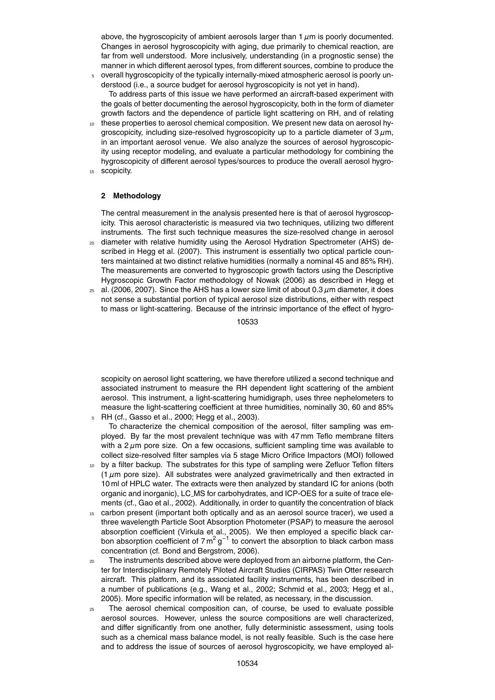above, the hygroscopicity of ambient aerosols larger than 1 *µ*m is poorly documented. Changes in aerosol hygroscopicity with aging, due primarily to chemical reaction, are far from well understood. More inclusively, understanding (in a prognostic sense) the manner in which different aerosol types, from different sources, combine to produce the <sup>5</sup> overall hygroscopicity of the typically internally-mixed atmospheric aerosol is poorly un-

derstood (i.e., a source budget for aerosol hygroscopicity is not yet in hand).

To address parts of this issue we have performed an aircraft-based experiment with the goals of better documenting the aerosol hygroscopicity, both in the form of diameter growth factors and the dependence of particle light scattering on RH, and of relating

- these properties to aerosol chemical composition. We present new data on aerosol hygroscopicity, including size-resolved hygroscopicity up to a particle diameter of 3 *µ*m, in an important aerosol venue. We also analyze the sources of aerosol hygroscopicity using receptor modeling, and evaluate a particular methodology for combining the hygroscopicity of different aerosol types/sources to produce the overall aerosol hygro-<sup>15</sup> scopicity.
	-

#### **2 Methodology**

The central measurement in the analysis presented here is that of aerosol hygroscopicity. This aerosol characteristic is measured via two techniques, utilizing two different instruments. The first such technique measures the size-resolved change in aerosol

- <sup>20</sup> diameter with relative humidity using the Aerosol Hydration Spectrometer (AHS) described in Hegg et al. (2007). This instrument is essentially two optical particle counters maintained at two distinct relative humidities (normally a nominal 45 and 85% RH). The measurements are converted to hygroscopic growth factors using the Descriptive Hygroscopic Growth Factor methodology of Nowak (2006) as described in Hegg et
- $25$  al. (2006, 2007). Since the AHS has a lower size limit of about 0.3  $\mu$ m diameter, it does not sense a substantial portion of typical aerosol size distributions, either with respect to mass or light-scattering. Because of the intrinsic importance of the effect of hygro-

#### 10533

scopicity on aerosol light scattering, we have therefore utilized a second technique and associated instrument to measure the RH dependent light scattering of the ambient aerosol. This instrument, a light-scattering humidigraph, uses three nephelometers to measure the light-scattering coefficient at three humidities, nominally 30, 60 and 85% <sup>5</sup> RH (cf., Gasso et al., 2000; Hegg et al., 2003).

- To characterize the chemical composition of the aerosol, filter sampling was employed. By far the most prevalent technique was with 47 mm Teflo membrane filters with a 2  $\mu$ m pore size. On a few occasions, sufficient sampling time was available to collect size-resolved filter samples via 5 stage Micro Orifice Impactors (MOI) followed
- <sup>10</sup> by a filter backup. The substrates for this type of sampling were Zefluor Teflon filters (1 *µ*m pore size). All substrates were analyzed gravimetrically and then extracted in 10 ml of HPLC water. The extracts were then analyzed by standard IC for anions (both organic and inorganic), LC MS for carbohydrates, and ICP-OES for a suite of trace elements (cf., Gao et al., 2002). Additionally, in order to quantify the concentration of black
- 15 carbon present (important both optically and as an aerosol source tracer), we used a three wavelength Particle Soot Absorption Photometer (PSAP) to measure the aerosol absorption coefficient (Virkula et al., 2005). We then employed a specific black carbon absorption coefficient of 7  $m^2 g^{-1}$  to convert the absorption to black carbon mass concentration (cf. Bond and Bergstrom, 2006).
- <sup>20</sup> The instruments described above were deployed from an airborne platform, the Center for Interdisciplinary Remotely Piloted Aircraft Studies (CIRPAS) Twin Otter research aircraft. This platform, and its associated facility instruments, has been described in a number of publications (e.g., Wang et al., 2002; Schmid et al., 2003; Hegg et al., 2005). More specific information will be related, as necessary, in the discussion.
- <sup>25</sup> The aerosol chemical composition can, of course, be used to evaluate possible aerosol sources. However, unless the source compositions are well characterized, and differ significantly from one another, fully deterministic assessment, using tools such as a chemical mass balance model, is not really feasible. Such is the case here and to address the issue of sources of aerosol hygroscopicity, we have employed al-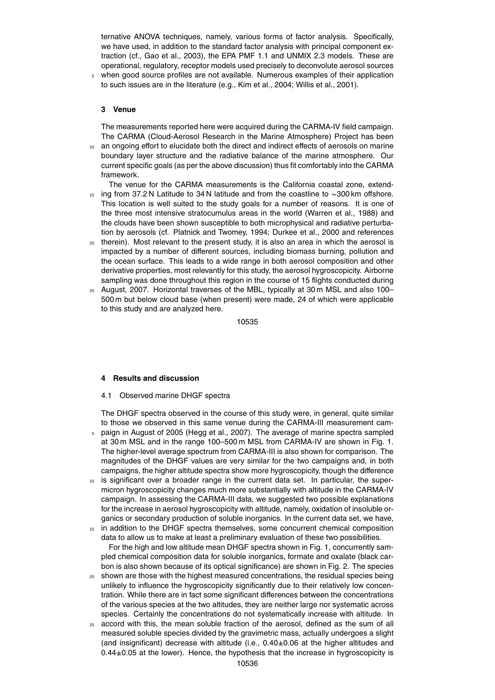ternative ANOVA techniques, namely, various forms of factor analysis. Specifically, we have used, in addition to the standard factor analysis with principal component extraction (cf., Gao et al., 2003), the EPA PMF 1.1 and UNMIX 2.3 models. These are operational, regulatory, receptor models used precisely to deconvolute aerosol sources

<sup>5</sup> when good source profiles are not available. Numerous examples of their application to such issues are in the literature (e.g., Kim et al., 2004; Willis et al., 2001).

#### **3 Venue**

The measurements reported here were acquired during the CARMA-IV field campaign. The CARMA (Cloud-Aerosol Research in the Marine Atmosphere) Project has been

an ongoing effort to elucidate both the direct and indirect effects of aerosols on marine boundary layer structure and the radiative balance of the marine atmosphere. Our current specific goals (as per the above discussion) thus fit comfortably into the CARMA framework.

The venue for the CARMA measurements is the California coastal zone, extend-

- <sup>15</sup> ing from 37.2 N Latitude to 34 N latitude and from the coastline to ∼300 km offshore. This location is well suited to the study goals for a number of reasons. It is one of the three most intensive stratocumulus areas in the world (Warren et al., 1988) and the clouds have been shown susceptible to both microphysical and radiative perturbation by aerosols (cf. Platnick and Twomey, 1994; Durkee et al., 2000 and references
- <sup>20</sup> therein). Most relevant to the present study, it is also an area in which the aerosol is impacted by a number of different sources, including biomass burning, pollution and the ocean surface. This leads to a wide range in both aerosol composition and other derivative properties, most relevantly for this study, the aerosol hygroscopicity. Airborne sampling was done throughout this region in the course of 15 flights conducted during
- $25$  August, 2007. Horizontal traverses of the MBL, typically at 30 m MSL and also 100– 500 m but below cloud base (when present) were made, 24 of which were applicable to this study and are analyzed here.

10535

#### **4 Results and discussion**

#### 4.1 Observed marine DHGF spectra

The DHGF spectra observed in the course of this study were, in general, quite similar to those we observed in this same venue during the CARMA-III measurement cam-

- <sup>5</sup> paign in August of 2005 (Hegg et al., 2007). The average of marine spectra sampled at 30 m MSL and in the range 100–500 m MSL from CARMA-IV are shown in Fig. 1. The higher-level average spectrum from CARMA-III is also shown for comparison. The magnitudes of the DHGF values are very similar for the two campaigns and, in both campaigns, the higher altitude spectra show more hygroscopicity, though the difference
- <sup>10</sup> is significant over a broader range in the current data set. In particular, the supermicron hygroscopicity changes much more substantially with altitude in the CARMA-IV campaign. In assessing the CARMA-III data, we suggested two possible explanations for the increase in aerosol hygroscopicity with altitude, namely, oxidation of insoluble organics or secondary production of soluble inorganics. In the current data set, we have,
- <sup>15</sup> in addition to the DHGF spectra themselves, some concurrent chemical composition data to allow us to make at least a preliminary evaluation of these two possibilities. For the high and low altitude mean DHGF spectra shown in Fig. 1, concurrently sampled chemical composition data for soluble inorganics, formate and oxalate (black carbon is also shown because of its optical significance) are shown in Fig. 2. The species
- shown are those with the highest measured concentrations, the residual species being unlikely to influence the hygroscopicity significantly due to their relatively low concentration. While there are in fact some significant differences between the concentrations of the various species at the two altitudes, they are neither large nor systematic across species. Certainly the concentrations do not systematically increase with altitude. In
- <sup>25</sup> accord with this, the mean soluble fraction of the aerosol, defined as the sum of all measured soluble species divided by the gravimetric mass, actually undergoes a slight (and insignificant) decrease with altitude (i.e.,  $0.40\pm0.06$  at the higher altitudes and  $0.44\pm0.05$  at the lower). Hence, the hypothesis that the increase in hygroscopicity is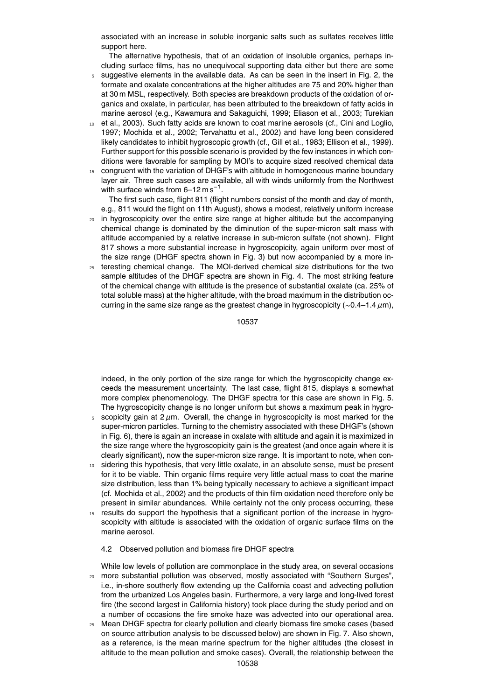associated with an increase in soluble inorganic salts such as sulfates receives little support here.

The alternative hypothesis, that of an oxidation of insoluble organics, perhaps including surface films, has no unequivocal supporting data either but there are some

- <sup>5</sup> suggestive elements in the available data. As can be seen in the insert in Fig. 2, the formate and oxalate concentrations at the higher altitudes are 75 and 20% higher than at 30 m MSL, respectively. Both species are breakdown products of the oxidation of organics and oxalate, in particular, has been attributed to the breakdown of fatty acids in marine aerosol (e.g., Kawamura and Sakaguichi, 1999; Eliason et al., 2003; Turekian
- <sup>10</sup> et al., 2003). Such fatty acids are known to coat marine aerosols (cf., Cini and Loglio, 1997; Mochida et al., 2002; Tervahattu et al., 2002) and have long been considered likely candidates to inhibit hygroscopic growth (cf., Gill et al., 1983; Ellison et al., 1999). Further support for this possible scenario is provided by the few instances in which conditions were favorable for sampling by MOI's to acquire sized resolved chemical data
- <sup>15</sup> congruent with the variation of DHGF's with altitude in homogeneous marine boundary layer air. Three such cases are available, all with winds uniformly from the Northwest with surface winds from  $6-12 \text{ m s}^{-1}$ .

The first such case, flight 811 (flight numbers consist of the month and day of month, e.g., 811 would the flight on 11th August), shows a modest, relatively uniform increase

- <sub>20</sub> in hygroscopicity over the entire size range at higher altitude but the accompanying chemical change is dominated by the diminution of the super-micron salt mass with altitude accompanied by a relative increase in sub-micron sulfate (not shown). Flight 817 shows a more substantial increase in hygroscopicity, again uniform over most of the size range (DHGF spectra shown in Fig. 3) but now accompanied by a more in-
- <sup>25</sup> teresting chemical change. The MOI-derived chemical size distributions for the two sample altitudes of the DHGF spectra are shown in Fig. 4. The most striking feature of the chemical change with altitude is the presence of substantial oxalate (ca. 25% of total soluble mass) at the higher altitude, with the broad maximum in the distribution occurring in the same size range as the greatest change in hygroscopicity (∼0.4–1.4 *µ*m),

10537

indeed, in the only portion of the size range for which the hygroscopicity change exceeds the measurement uncertainty. The last case, flight 815, displays a somewhat more complex phenomenology. The DHGF spectra for this case are shown in Fig. 5. The hygroscopicity change is no longer uniform but shows a maximum peak in hygro-

- scopicity gain at  $2 \mu$ m. Overall, the change in hygroscopicity is most marked for the super-micron particles. Turning to the chemistry associated with these DHGF's (shown in Fig. 6), there is again an increase in oxalate with altitude and again it is maximized in the size range where the hygroscopicity gain is the greatest (and once again where it is clearly significant), now the super-micron size range. It is important to note, when con-
- <sup>10</sup> sidering this hypothesis, that very little oxalate, in an absolute sense, must be present for it to be viable. Thin organic films require very little actual mass to coat the marine size distribution, less than 1% being typically necessary to achieve a significant impact (cf. Mochida et al., 2002) and the products of thin film oxidation need therefore only be present in similar abundances. While certainly not the only process occurring, these
- results do support the hypothesis that a significant portion of the increase in hygroscopicity with altitude is associated with the oxidation of organic surface films on the marine aerosol.

#### 4.2 Observed pollution and biomass fire DHGF spectra

While low levels of pollution are commonplace in the study area, on several occasions <sup>20</sup> more substantial pollution was observed, mostly associated with "Southern Surges", i.e., in-shore southerly flow extending up the California coast and advecting pollution from the urbanized Los Angeles basin. Furthermore, a very large and long-lived forest fire (the second largest in California history) took place during the study period and on a number of occasions the fire smoke haze was advected into our operational area.

<sup>25</sup> Mean DHGF spectra for clearly pollution and clearly biomass fire smoke cases (based on source attribution analysis to be discussed below) are shown in Fig. 7. Also shown, as a reference, is the mean marine spectrum for the higher altitudes (the closest in altitude to the mean pollution and smoke cases). Overall, the relationship between the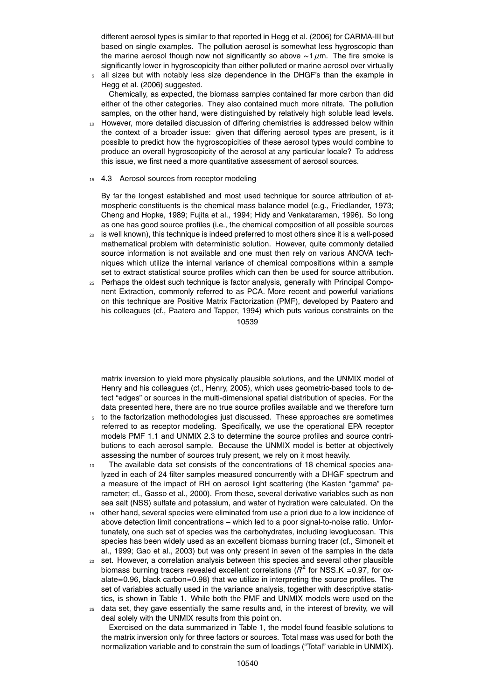different aerosol types is similar to that reported in Hegg et al. (2006) for CARMA-III but based on single examples. The pollution aerosol is somewhat less hygroscopic than the marine aerosol though now not significantly so above ∼1 *µ*m. The fire smoke is significantly lower in hygroscopicity than either polluted or marine aerosol over virtually

<sup>5</sup> all sizes but with notably less size dependence in the DHGF's than the example in Hegg et al. (2006) suggested. Chemically, as expected, the biomass samples contained far more carbon than did

either of the other categories. They also contained much more nitrate. The pollution samples, on the other hand, were distinguished by relatively high soluble lead levels. However, more detailed discussion of differing chemistries is addressed below within

the context of a broader issue: given that differing aerosol types are present, is it possible to predict how the hygroscopicities of these aerosol types would combine to produce an overall hygroscopicity of the aerosol at any particular locale? To address this issue, we first need a more quantitative assessment of aerosol sources.

#### 15 4.3 Aerosol sources from receptor modeling

By far the longest established and most used technique for source attribution of atmospheric constituents is the chemical mass balance model (e.g., Friedlander, 1973; Cheng and Hopke, 1989; Fujita et al., 1994; Hidy and Venkataraman, 1996). So long as one has good source profiles (i.e., the chemical composition of all possible sources

<sup>20</sup> is well known), this technique is indeed preferred to most others since it is a well-posed mathematical problem with deterministic solution. However, quite commonly detailed source information is not available and one must then rely on various ANOVA techniques which utilize the internal variance of chemical compositions within a sample set to extract statistical source profiles which can then be used for source attribution.

 $25$  Perhaps the oldest such technique is factor analysis, generally with Principal Component Extraction, commonly referred to as PCA. More recent and powerful variations on this technique are Positive Matrix Factorization (PMF), developed by Paatero and his colleagues (cf., Paatero and Tapper, 1994) which puts various constraints on the 10539

matrix inversion to yield more physically plausible solutions, and the UNMIX model of Henry and his colleagues (cf., Henry, 2005), which uses geometric-based tools to detect "edges" or sources in the multi-dimensional spatial distribution of species. For the data presented here, there are no true source profiles available and we therefore turn

- to the factorization methodologies just discussed. These approaches are sometimes referred to as receptor modeling. Specifically, we use the operational EPA receptor models PMF 1.1 and UNMIX 2.3 to determine the source profiles and source contributions to each aerosol sample. Because the UNMIX model is better at objectively assessing the number of sources truly present, we rely on it most heavily.
- <sup>10</sup> The available data set consists of the concentrations of 18 chemical species analyzed in each of 24 filter samples measured concurrently with a DHGF spectrum and a measure of the impact of RH on aerosol light scattering (the Kasten "gamma" parameter; cf., Gasso et al., 2000). From these, several derivative variables such as non sea salt (NSS) sulfate and potassium, and water of hydration were calculated. On the
- <sup>15</sup> other hand, several species were eliminated from use a priori due to a low incidence of above detection limit concentrations – which led to a poor signal-to-noise ratio. Unfortunately, one such set of species was the carbohydrates, including levoglucosan. This species has been widely used as an excellent biomass burning tracer (cf., Simoneit et al., 1999; Gao et al., 2003) but was only present in seven of the samples in the data
- <sup>20</sup> set. However, a correlation analysis between this species and several other plausible biomass burning tracers revealed excellent correlations ( $R^2$  for NSS<sub>-</sub>K =0.97, for oxalate=0.96, black carbon=0.98) that we utilize in interpreting the source profiles. The set of variables actually used in the variance analysis, together with descriptive statistics, is shown in Table 1. While both the PMF and UNMIX models were used on the
- $25$  data set, they gave essentially the same results and, in the interest of brevity, we will deal solely with the UNMIX results from this point on.

Exercised on the data summarized in Table 1, the model found feasible solutions to the matrix inversion only for three factors or sources. Total mass was used for both the normalization variable and to constrain the sum of loadings ("Total" variable in UNMIX).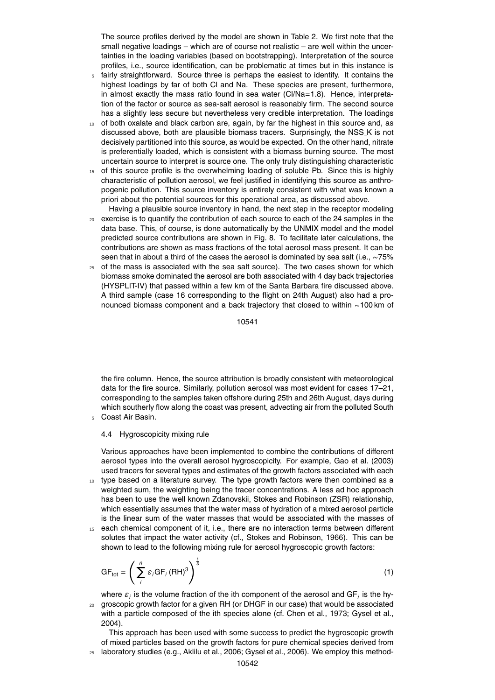The source profiles derived by the model are shown in Table 2. We first note that the small negative loadings – which are of course not realistic – are well within the uncertainties in the loading variables (based on bootstrapping). Interpretation of the source profiles, i.e., source identification, can be problematic at times but in this instance is

- <sup>5</sup> fairly straightforward. Source three is perhaps the easiest to identify. It contains the highest loadings by far of both Cl and Na. These species are present, furthermore, in almost exactly the mass ratio found in sea water (Cl/Na=1.8). Hence, interpretation of the factor or source as sea-salt aerosol is reasonably firm. The second source has a slightly less secure but nevertheless very credible interpretation. The loadings
- <sup>10</sup> of both oxalate and black carbon are, again, by far the highest in this source and, as discussed above, both are plausible biomass tracers. Surprisingly, the NSS K is not decisively partitioned into this source, as would be expected. On the other hand, nitrate is preferentially loaded, which is consistent with a biomass burning source. The most uncertain source to interpret is source one. The only truly distinguishing characteristic
- <sup>15</sup> of this source profile is the overwhelming loading of soluble Pb. Since this is highly characteristic of pollution aerosol, we feel justified in identifying this source as anthropogenic pollution. This source inventory is entirely consistent with what was known a priori about the potential sources for this operational area, as discussed above. Having a plausible source inventory in hand, the next step in the receptor modeling
- <sup>20</sup> exercise is to quantify the contribution of each source to each of the 24 samples in the data base. This, of course, is done automatically by the UNMIX model and the model predicted source contributions are shown in Fig. 8. To facilitate later calculations, the contributions are shown as mass fractions of the total aerosol mass present. It can be seen that in about a third of the cases the aerosol is dominated by sea salt (i.e., ~75%
- $25$  of the mass is associated with the sea salt source). The two cases shown for which biomass smoke dominated the aerosol are both associated with 4 day back trajectories (HYSPLIT-IV) that passed within a few km of the Santa Barbara fire discussed above. A third sample (case 16 corresponding to the flight on 24th August) also had a pronounced biomass component and a back trajectory that closed to within ∼100 km of

10541

the fire column. Hence, the source attribution is broadly consistent with meteorological data for the fire source. Similarly, pollution aerosol was most evident for cases 17–21, corresponding to the samples taken offshore during 25th and 26th August, days during which southerly flow along the coast was present, advecting air from the polluted South

<sup>5</sup> Coast Air Basin.

#### 4.4 Hygroscopicity mixing rule

Various approaches have been implemented to combine the contributions of different aerosol types into the overall aerosol hygroscopicity. For example, Gao et al. (2003) used tracers for several types and estimates of the growth factors associated with each

- <sup>10</sup> type based on a literature survey. The type growth factors were then combined as a weighted sum, the weighting being the tracer concentrations. A less ad hoc approach has been to use the well known Zdanovskii, Stokes and Robinson (ZSR) relationship, which essentially assumes that the water mass of hydration of a mixed aerosol particle is the linear sum of the water masses that would be associated with the masses of
- <sup>15</sup> each chemical component of it, i.e., there are no interaction terms between different solutes that impact the water activity (cf., Stokes and Robinson, 1966). This can be shown to lead to the following mixing rule for aerosol hygroscopic growth factors:

$$
GF_{\text{tot}} = \left(\sum_{i}^{n} \varepsilon_{i} GF_{i} (RH)^{3}\right)^{\frac{1}{3}}
$$
 (1)

where  $\varepsilon_i$  is the volume fraction of the ith component of the aerosol and GF<sub>i</sub> is the hy-<sup>20</sup> groscopic growth factor for a given RH (or DHGF in our case) that would be associated with a particle composed of the ith species alone (cf. Chen et al., 1973; Gysel et al., 2004).

This approach has been used with some success to predict the hygroscopic growth of mixed particles based on the growth factors for pure chemical species derived from <sup>25</sup> laboratory studies (e.g., Aklilu et al., 2006; Gysel et al., 2006). We employ this method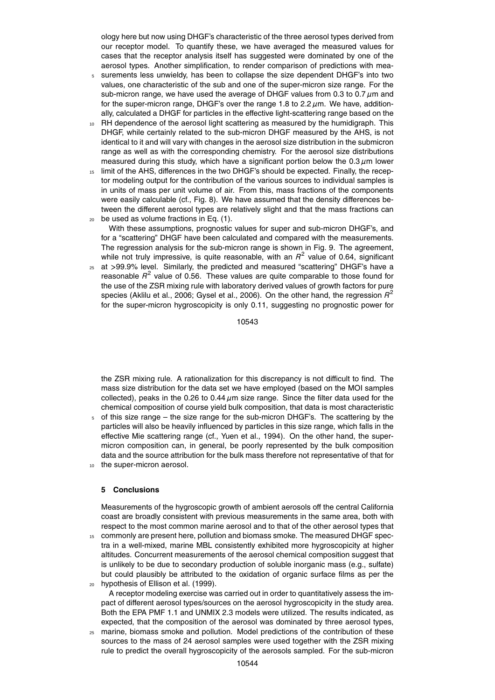ology here but now using DHGF's characteristic of the three aerosol types derived from our receptor model. To quantify these, we have averaged the measured values for cases that the receptor analysis itself has suggested were dominated by one of the aerosol types. Another simplification, to render comparison of predictions with mea-

- <sup>5</sup> surements less unwieldy, has been to collapse the size dependent DHGF's into two values, one characteristic of the sub and one of the super-micron size range. For the sub-micron range, we have used the average of DHGF values from 0.3 to 0.7 *µ*m and for the super-micron range, DHGF's over the range 1.8 to 2.2 *µ*m. We have, additionally, calculated a DHGF for particles in the effective light-scattering range based on the
- 10 RH dependence of the aerosol light scattering as measured by the humidigraph. This DHGF, while certainly related to the sub-micron DHGF measured by the AHS, is not identical to it and will vary with changes in the aerosol size distribution in the submicron range as well as with the corresponding chemistry. For the aerosol size distributions measured during this study, which have a significant portion below the 0.3 *µ*m lower
- <sup>15</sup> limit of the AHS, differences in the two DHGF's should be expected. Finally, the receptor modeling output for the contribution of the various sources to individual samples is in units of mass per unit volume of air. From this, mass fractions of the components were easily calculable (cf., Fig. 8). We have assumed that the density differences between the different aerosol types are relatively slight and that the mass fractions can  $20$  be used as volume fractions in Eq. (1).
- With these assumptions, prognostic values for super and sub-micron DHGF's, and for a "scattering" DHGF have been calculated and compared with the measurements. The regression analysis for the sub-micron range is shown in Fig. 9. The agreement, while not truly impressive, is quite reasonable, with an  $R^2$  value of 0.64, significant
- <sup>25</sup> at *>*99.9% level. Similarly, the predicted and measured "scattering" DHGF's have a reasonable  $R^2$  value of 0.56. These values are quite comparable to those found for the use of the ZSR mixing rule with laboratory derived values of growth factors for pure species (Aklilu et al., 2006; Gysel et al., 2006). On the other hand, the regression *R* 2 for the super-micron hygroscopicity is only 0.11, suggesting no prognostic power for

10543

the ZSR mixing rule. A rationalization for this discrepancy is not difficult to find. The mass size distribution for the data set we have employed (based on the MOI samples collected), peaks in the 0.26 to 0.44 *µ*m size range. Since the filter data used for the chemical composition of course yield bulk composition, that data is most characteristic

- $5$  of this size range the size range for the sub-micron DHGF's. The scattering by the particles will also be heavily influenced by particles in this size range, which falls in the effective Mie scattering range (cf., Yuen et al., 1994). On the other hand, the supermicron composition can, in general, be poorly represented by the bulk composition data and the source attribution for the bulk mass therefore not representative of that for 10 the super-micron aerosol.
- 

#### **5 Conclusions**

Measurements of the hygroscopic growth of ambient aerosols off the central California coast are broadly consistent with previous measurements in the same area, both with respect to the most common marine aerosol and to that of the other aerosol types that

- <sup>15</sup> commonly are present here, pollution and biomass smoke. The measured DHGF spectra in a well-mixed, marine MBL consistently exhibited more hygroscopicity at higher altitudes. Concurrent measurements of the aerosol chemical composition suggest that is unlikely to be due to secondary production of soluble inorganic mass (e.g., sulfate) but could plausibly be attributed to the oxidation of organic surface films as per the <sup>20</sup> hypothesis of Ellison et al. (1999).
- A receptor modeling exercise was carried out in order to quantitatively assess the impact of different aerosol types/sources on the aerosol hygroscopicity in the study area. Both the EPA PMF 1.1 and UNMIX 2.3 models were utilized. The results indicated, as expected, that the composition of the aerosol was dominated by three aerosol types,
- <sup>25</sup> marine, biomass smoke and pollution. Model predictions of the contribution of these sources to the mass of 24 aerosol samples were used together with the ZSR mixing rule to predict the overall hygroscopicity of the aerosols sampled. For the sub-micron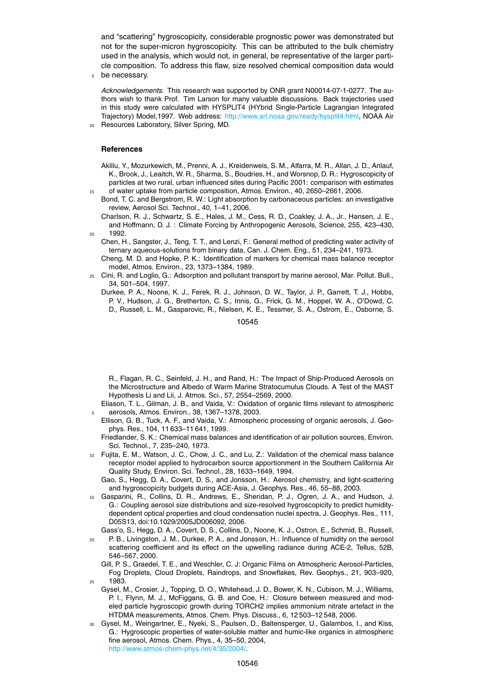and "scattering" hygroscopicity, considerable prognostic power was demonstrated but not for the super-micron hygroscopicity. This can be attributed to the bulk chemistry used in the analysis, which would not, in general, be representative of the larger particle composition. To address this flaw, size resolved chemical composition data would

<sup>5</sup> be necessary.

*Acknowledgements.* This research was supported by ONR grant N00014-07-1-0277. The authors wish to thank Prof. Tim Larson for many valuable discussions. Back trajectories used in this study were calculated with HYSPLIT4 (HYbrid Single-Particle Lagrangian Integrated Trajectory) Model,1997. Web address: http://www.arl.noaa.gov/ready/hysplit4.html, NOAA Air <sup>10</sup> Resources Laboratory, Silver Spring, MD.

#### **References**

- Aklilu, Y., Mozurkewich, M., Prenni, A. J., Kreidenweis, S. M., Alfarra, M. R., Allan, J. D., Anlauf, K., Brook, J., Leaitch, W. R., Sharma, S., Boudries, H., and Worsnop, D. R.: Hygroscopicity of particles at two rural, urban influenced sites during Pacific 2001: comparison with estimates <sup>15</sup> of water uptake from particle composition, Atmos. Environ., 40, 2650–2661, 2006.
	- Bond, T. C. and Bergstrom, R. W.: Light absorption by carbonaceous particles: an investigative review, Aerosol Sci. Technol., 40, 1–41, 2006.
- Charlson, R. J., Schwartz, S. E., Hales, J. M., Cess, R. D., Coakley, J. A., Jr., Hansen, J. E., and Hoffmann, D. J. : Climate Forcing by Anthropogenic Aerosols, Science, 255, 423–430, <sup>20</sup> 1992.
	- Chen, H., Sangster, J., Teng, T. T., and Lenzi, F.: General method of predicting water activity of ternary aqueous-solutions from binary data, Can. J. Chem. Eng., 51, 234–241, 1973.
	- Cheng, M. D. and Hopke, P. K.: Identification of markers for chemical mass balance receptor model, Atmos. Environ., 23, 1373–1384, 1989.
- <sup>25</sup> Cini, R. and Loglio, G.: Adsorption and pollutant transport by marine aerosol, Mar. Pollut. Bull., 34, 501–504, 1997.
	- Durkee, P. A., Noone, K. J., Ferek, R. J., Johnson, D. W., Taylor, J. P., Garrett, T. J., Hobbs, P. V., Hudson, J. G., Bretherton, C. S., Innis, G., Frick, G. M., Hoppel, W. A., O'Dowd, C. D., Russell, L. M., Gasparovic, R., Nielsen, K. E., Tessmer, S. A., Ostrom, E., Osborne, S.

10545

R., Flagan, R. C., Seinfeld, J. H., and Rand, H.: The Impact of Ship-Produced Aerosols on the Microstructure and Albedo of Warm Marine Stratocumulus Clouds. A Test of the MAST Hypothesis Li and Lii, J. Atmos. Sci., 57, 2554–2569, 2000.

- Eliason, T. L., Gilman, J. B., and Vaida, V.: Oxidation of organic films relevant to atmospheric <sup>5</sup> aerosols, Atmos. Environ., 38, 1367–1378, 2003.
- Ellison, G. B., Tuck, A. F., and Vaida, V.: Atmospheric processing of organic aerosols, J. Geophys. Res., 104, 11 633–11 641, 1999.

Friedlander, S. K.: Chemical mass balances and identification of air pollution sources, Environ. Sci. Technol., 7, 235–240, 1973.

- <sup>10</sup> Fujita, E. M., Watson, J. C., Chow, J. C., and Lu, Z.: Validation of the chemical mass balance receptor model applied to hydrocarbon source apportionment in the Southern California Air Quality Study, Environ. Sci. Technol., 28, 1633–1649, 1994.
	- Gao, S., Hegg, D. A., Covert, D. S., and Jonsson, H.: Aerosol chemistry, and light-scattering and hygroscopicity budgets during ACE-Asia, J. Geophys. Res., 46, 55–88, 2003.
- <sup>15</sup> Gasparini, R., Collins, D. R., Andrews, E., Sheridan, P. J., Ogren, J. A., and Hudson, J. G.: Coupling aerosol size distributions and size-resolved hygroscopicity to predict humiditydependent optical properties and cloud condensation nuclei spectra, J. Geophys. Res., 111, D05S13, doi:10.1029/2005JD006092, 2006.
- Gass'o, S., Hegg, D. A., Covert, D. S., Collins, D., Noone, K. J., Ostron, E., Schmid, B., Russell, <sup>20</sup> P. B., Livingston, J. M., Durkee, P. A., and Jonsson, H.: Influence of humidity on the aerosol
- scattering coefficient and its effect on the upwelling radiance during ACE-2, Tellus, 52B, 546–567, 2000. Gill, P. S., Graedel, T. E., and Weschler, C. J: Organic Films on Atmospheric Aerosol-Particles,
- Fog Droplets, Cloud Droplets, Raindrops, and Snowflakes, Rev. Geophys., 21, 903–920,  $25$  1983
	- Gysel, M., Crosier, J., Topping, D. O., Whitehead, J. D., Bower, K. N., Cubison, M. J., Williams, P. I., Flynn, M. J., McFiggans, G. B. and Coe, H.: Closure between measured and modeled particle hygroscopic growth during TORCH2 implies ammonium nitrate artefact in the HTDMA measurements, Atmos. Chem. Phys. Discuss., 6, 12 503–12 548, 2006.
- <sup>30</sup> Gysel, M., Weingartner, E., Nyeki, S., Paulsen, D., Baltensperger, U., Galambos, I., and Kiss, G.: Hygroscopic properties of water-soluble matter and humic-like organics in atmospheric fine aerosol, Atmos. Chem. Phys., 4, 35–50, 2004, http://www.atmos-chem-phys.net/4/35/2004/.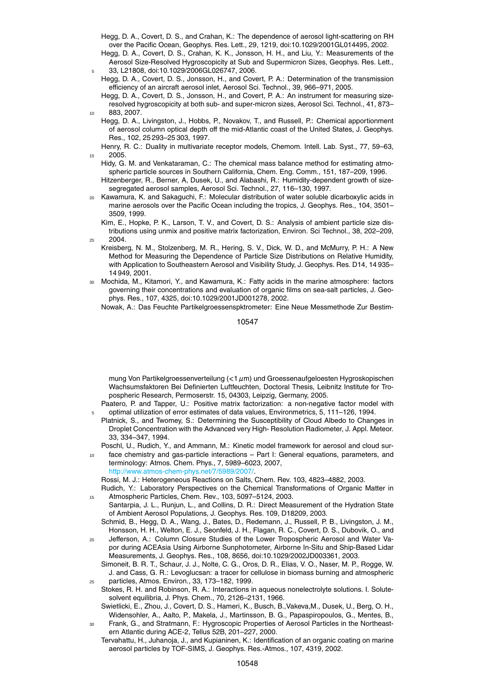- Hegg, D. A., Covert, D. S., and Crahan, K.: The dependence of aerosol light-scattering on RH over the Pacific Ocean, Geophys. Res. Lett., 29, 1219, doi:10.1029/2001GL014495, 2002.
- Hegg, D. A., Covert, D. S., Crahan, K. K., Jonsson, H. H., and Liu, Y.: Measurements of the Aerosol Size-Resolved Hygroscopicity at Sub and Supermicron Sizes, Geophys. Res. Lett., <sup>5</sup> 33, L21808, doi:10.1029/2006GL026747, 2006.
- Hegg, D. A., Covert, D. S., Jonsson, H., and Covert, P. A.: Determination of the transmission efficiency of an aircraft aerosol inlet, Aerosol Sci. Technol., 39, 966–971, 2005.

Hegg, D. A., Covert, D. S., Jonsson, H., and Covert, P. A.: An instrument for measuring sizeresolved hygroscopicity at both sub- and super-micron sizes, Aerosol Sci. Technol., 41, 873– <sup>10</sup> 883, 2007.

- Hegg, D. A., Livingston, J., Hobbs, P., Novakov, T., and Russell, P.: Chemical apportionment of aerosol column optical depth off the mid-Atlantic coast of the United States, J. Geophys. Res., 102, 25 293–25 303, 1997.
- Henry, R. C.: Duality in multivariate receptor models, Chemom. Intell. Lab. Syst., 77, 59–63, <sup>15</sup> 2005.
	- Hidy, G. M. and Venkataraman, C.: The chemical mass balance method for estimating atmospheric particle sources in Southern California, Chem. Eng. Comm., 151, 187–209, 1996. Hitzenberger, R., Berner, A, Dusek, U., and Alabashi, R.: Humidity-dependent growth of size-

segregated aerosol samples, Aerosol Sci. Technol., 27, 116–130, 1997. <sup>20</sup> Kawamura, K. and Sakaguchi, F.: Molecular distribution of water soluble dicarboxylic acids in

marine aerosols over the Pacific Ocean including the tropics, J. Geophys. Res., 104, 3501– 3509, 1999.

Kim, E., Hopke, P. K., Larson, T. V., and Covert, D. S.: Analysis of ambient particle size distributions using unmix and positive matrix factorization, Environ. Sci Technol., 38, 202–209, <sup>25</sup> 2004.

- Kreisberg, N. M., Stolzenberg, M. R., Hering, S. V., Dick, W. D., and McMurry, P. H.: A New Method for Measuring the Dependence of Particle Size Distributions on Relative Humidity, with Application to Southeastern Aerosol and Visibility Study, J. Geophys. Res. D14, 14 935– 14 949, 2001.
- <sup>30</sup> Mochida, M., Kitamori, Y., and Kawamura, K.: Fatty acids in the marine atmosphere: factors governing their concentrations and evaluation of organic films on sea-salt particles, J. Geophys. Res., 107, 4325, doi:10.1029/2001JD001278, 2002.

Nowak, A.: Das Feuchte Partikelgroessenspktrometer: Eine Neue Messmethode Zur Bestim-

10547

mung Von Partikelgroessenverteilung (*<*1 *µ*m) und Groessenaufgeloesten Hygroskopischen Wachsumsfaktoren Bei Definierten Luftfeuchten, Doctoral Thesis, Leibnitz Institute for Tropospheric Research, Permoserstr. 15, 04303, Leipzig, Germany, 2005.

- Paatero, P. and Tapper, U.: Positive matrix factorization: a non-negative factor model with <sup>5</sup> optimal utilization of error estimates of data values, Environmetrics, 5, 111–126, 1994.
- Platnick, S., and Twomey, S.: Determining the Susceptibility of Cloud Albedo to Changes in Droplet Concentration with the Advanced very High- Resolution Radiometer, J. Appl. Meteor. 33, 334–347, 1994.
- Poschl, U., Rudich, Y., and Ammann, M.: Kinetic model framework for aerosol and cloud sur-
- face chemistry and gas-particle interactions Part I: General equations, parameters, and terminology: Atmos. Chem. Phys., 7, 5989–6023, 2007,

http://www.atmos-chem-phys.net/7/5989/2007/.

Rossi, M. J.: Heterogeneous Reactions on Salts, Chem. Rev. 103, 4823–4882, 2003.

Rudich, Y.: Laboratory Perspectives on the Chemical Transformations of Organic Matter in <sup>15</sup> Atmospheric Particles, Chem. Rev., 103, 5097–5124, 2003.

Santarpia, J. L., Runjun, L., and Collins, D. R.: Direct Measurement of the Hydration State of Ambient Aerosol Populations, J. Geophys. Res. 109, D18209, 2003.

- Schmid, B., Hegg, D. A., Wang, J., Bates, D., Redemann, J., Russell, P. B., Livingston, J. M., Honsson, H. H., Welton, E. J., Seonfeld, J. H., Flagan, R. C., Covert, D. S., Dubovik, O., and
- <sup>20</sup> Jefferson, A.: Column Closure Studies of the Lower Tropospheric Aerosol and Water Vapor during ACEAsia Using Airborne Sunphotometer, Airborne In-Situ and Ship-Based Lidar Measurements, J. Geophys. Res., 108, 8656, doi:10.1029/2002JD003361, 2003.
- Simoneit, B. R. T., Schaur, J. J., Nolte, C. G., Oros, D. R., Elias, V. O., Naser, M. P., Rogge, W. J. and Cass, G. R.: Levoglucsan: a tracer for cellulose in biomass burning and atmospheric <sup>25</sup> particles, Atmos. Environ., 33, 173–182, 1999.
	- Stokes, R. H. and Robinson, R. A.: Interactions in aqueous nonelectrolyte solutions. I. Solutesolvent equilibria, J. Phys. Chem., 70, 2126–2131, 1966.
	- Swietlicki, E., Zhou, J., Covert, D. S., Hameri, K., Busch, B.,Vakeva,M., Dusek, U., Berg, O. H., Widensohler, A., Aalto, P., Makela, J., Martinsson, B. G., Papaspiropoulos, G., Mentes, B.,
- Frank, G., and Stratmann, F.: Hygroscopic Properties of Aerosol Particles in the Northeastern Atlantic during ACE-2, Tellus 52B, 201–227, 2000.
- Tervahattu, H., Juhanoja, J., and Kupianinen, K.: Identification of an organic coating on marine aerosol particles by TOF-SIMS, J. Geophys. Res.-Atmos., 107, 4319, 2002.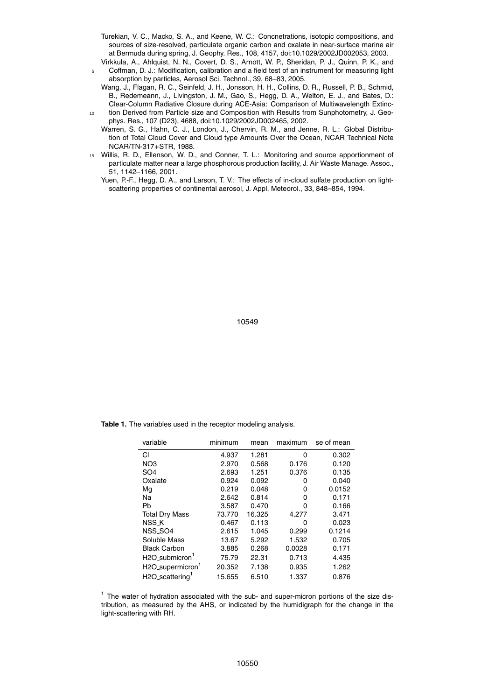- Turekian, V. C., Macko, S. A., and Keene, W. C.: Concnetrations, isotopic compositions, and sources of size-resolved, particulate organic carbon and oxalate in near-surface marine air at Bermuda during spring, J. Geophy. Res., 108, 4157, doi:10.1029/2002JD002053, 2003.
- Virkkula, A., Ahlquist, N. N., Covert, D. S., Arnott, W. P., Sheridan, P. J., Quinn, P. K., and <sup>5</sup> Coffman, D. J.: Modification, calibration and a field test of an instrument for measuring light absorption by particles, Aerosol Sci. Technol., 39, 68–83, 2005.
	- Wang, J., Flagan, R. C., Seinfeld, J. H., Jonsson, H. H., Collins, D. R., Russell, P. B., Schmid, B., Redemeann, J., Livingston, J. M., Gao, S., Hegg, D. A., Welton, E. J., and Bates, D.: Clear-Column Radiative Closure during ACE-Asia: Comparison of Multiwavelength Extinc-
- 10 tion Derived from Particle size and Composition with Results from Sunphotometry, J. Geophys. Res., 107 (D23), 4688, doi:10.1029/2002JD002465, 2002.
	- Warren, S. G., Hahn, C. J., London, J., Chervin, R. M., and Jenne, R. L.: Global Distribution of Total Cloud Cover and Cloud type Amounts Over the Ocean, NCAR Technical Note NCAR/TN-317+STR, 1988.
- <sup>15</sup> Willis, R. D., Ellenson, W. D., and Conner, T. L.: Monitoring and source apportionment of particulate matter near a large phosphorous production facility, J. Air Waste Manage. Assoc., 51, 1142–1166, 2001.
	- Yuen, P.-F., Hegg, D. A., and Larson, T. V.: The effects of in-cloud sulfate production on lightscattering properties of continental aerosol, J. Appl. Meteorol., 33, 848–854, 1994.

10549

**Table 1.** The variables used in the receptor modeling analysis.

| variable                                              | minimum | mean   | maximum | se of mean |
|-------------------------------------------------------|---------|--------|---------|------------|
| СI                                                    | 4.937   | 1.281  | 0       | 0.302      |
| NO <sub>3</sub>                                       | 2.970   | 0.568  | 0.176   | 0.120      |
| SO <sub>4</sub>                                       | 2.693   | 1.251  | 0.376   | 0.135      |
| Oxalate                                               | 0.924   | 0.092  | Ω       | 0.040      |
| Ma                                                    | 0.219   | 0.048  | o       | 0.0152     |
| Nа                                                    | 2.642   | 0.814  | Ω       | 0.171      |
| Pb                                                    | 3.587   | 0.470  | o       | 0.166      |
| <b>Total Dry Mass</b>                                 | 73.770  | 16.325 | 4.277   | 3.471      |
| <b>NSS_K</b>                                          | 0.467   | 0.113  | n       | 0.023      |
| NSS SO <sub>4</sub>                                   | 2.615   | 1.045  | 0.299   | 0.1214     |
| Soluble Mass                                          | 13.67   | 5.292  | 1.532   | 0.705      |
| <b>Black Carbon</b>                                   | 3.885   | 0.268  | 0.0028  | 0.171      |
| H <sub>2</sub> O <sub>-</sub> submicron <sup>1</sup>  | 75.79   | 22.31  | 0.713   | 4.435      |
| H2O_supermicron <sup>1</sup>                          | 20.352  | 7.138  | 0.935   | 1.262      |
| H <sub>2</sub> O <sub>-</sub> scattering <sup>1</sup> | 15.655  | 6.510  | 1.337   | 0.876      |
|                                                       |         |        |         |            |

 $1$  The water of hydration associated with the sub- and super-micron portions of the size distribution, as measured by the AHS, or indicated by the humidigraph for the change in the light-scattering with RH.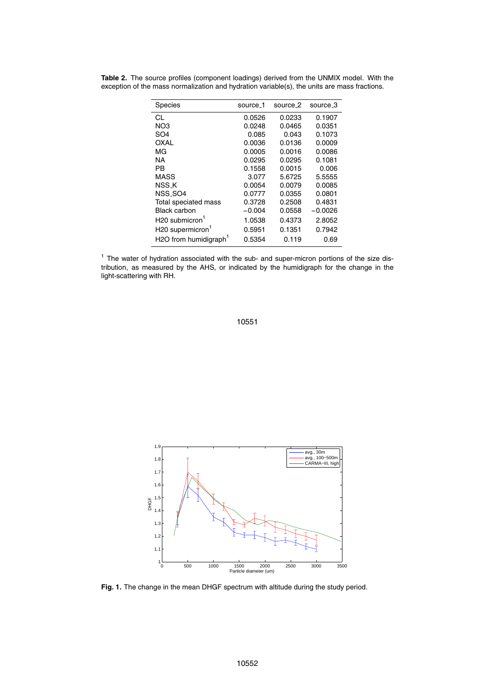| <b>Species</b>                                 | source 1 | source 2 | source 3  |
|------------------------------------------------|----------|----------|-----------|
| <b>CL</b>                                      | 0.0526   | 0.0233   | 0.1907    |
| NO <sub>3</sub>                                | 0.0248   | 0.0465   | 0.0351    |
| SO <sub>4</sub>                                | 0.085    | 0.043    | 0.1073    |
| OXAL                                           | 0.0036   | 0.0136   | 0.0009    |
| МG                                             | 0.0005   | 0.0016   | 0.0086    |
| ΝA                                             | 0.0295   | 0.0295   | 0.1081    |
| РB                                             | 0.1558   | 0.0015   | 0.006     |
| <b>MASS</b>                                    | 3.077    | 5.6725   | 5.5555    |
| NSS_K                                          | 0.0054   | 0.0079   | 0.0085    |
| NSS_SO4                                        | 0.0777   | 0.0355   | 0.0801    |
| Total speciated mass                           | 0.3728   | 0.2508   | 0.4831    |
| <b>Black carbon</b>                            | $-0.004$ | 0.0558   | $-0.0026$ |
| $H$ 20 submicron $^1$                          | 1.0538   | 0.4373   | 2.8052    |
| H <sub>20</sub> supermicron <sup>1</sup>       | 0.5951   | 0.1351   | 0.7942    |
| H <sub>2</sub> O from humidigraph <sup>1</sup> | 0.5354   | 0.119    | 0.69      |

**Table 2.** The source profiles (component loadings) derived from the UNMIX model. With the exception of the mass normalization and hydration variable(s), the units are mass fractions.

<sup>1</sup> The water of hydration associated with the sub- and super-micron portions of the size distribution, as measured by the AHS, or indicated by the humidigraph for the change in the light-scattering with RH.

#### 10551



**Fig. 1.** The change in the mean DHGF spectrum with altitude during the study period.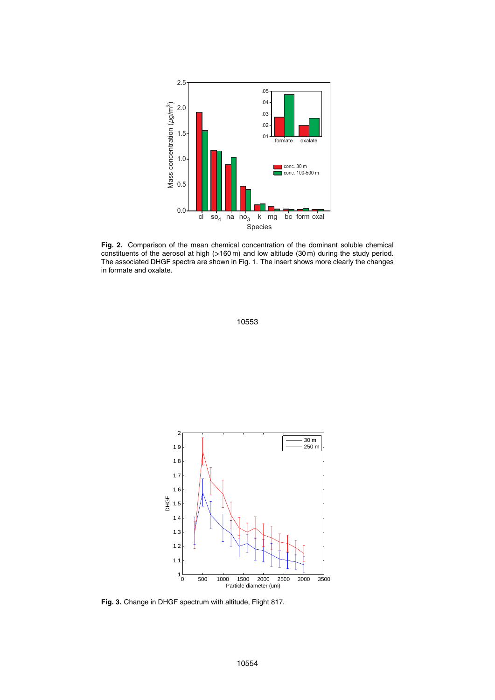

**Fig. 2.** Comparison of the mean chemical concentration of the dominant soluble chemical constituents of the aerosol at high (*>*160 m) and low altitude (30 m) during the study period. The associated DHGF spectra are shown in Fig. 1. The insert shows more clearly the changes in formate and oxalate.





**Fig. 3.** Change in DHGF spectrum with altitude, Flight 817.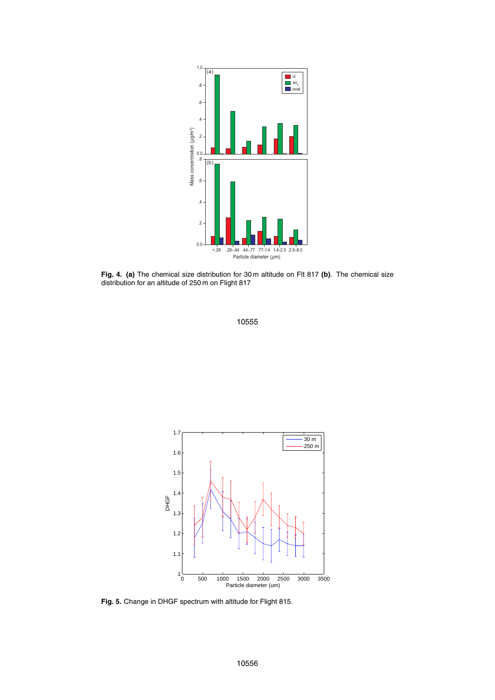

**Fig. 4. (a)** The chemical size distribution for 30 m altitude on Flt 817 **(b)**. The chemical size distribution for an altitude of 250 m on Flight 817





**Fig. 5.** Change in DHGF spectrum with altitude for Flight 815.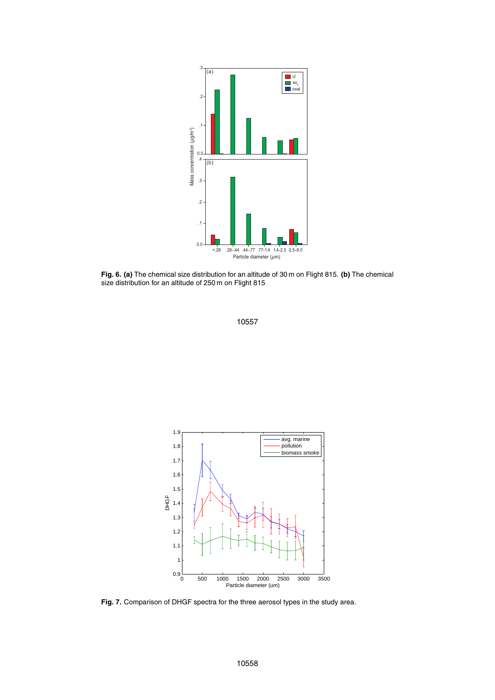

**Fig. 6. (a)** The chemical size distribution for an altitude of 30 m on Flight 815. **(b)** The chemical size distribution for an altitude of 250 m on Flight 815





**Fig. 7.** Comparison of DHGF spectra for the three aerosol types in the study area.